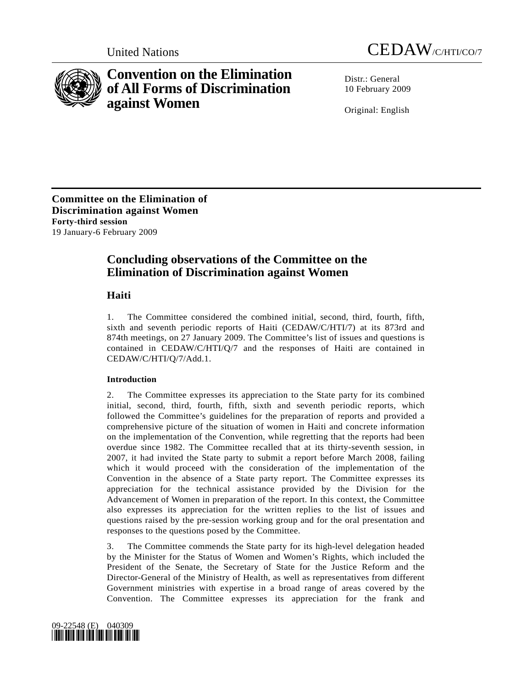



# **Convention on the Elimination of All Forms of Discrimination against Women**

Distr · General 10 February 2009

Original: English

**Committee on the Elimination of Discrimination against Women Forty-third session**  19 January-6 February 2009

## **Concluding observations of the Committee on the Elimination of Discrimination against Women**

## **Haiti**

1. The Committee considered the combined initial, second, third, fourth, fifth, sixth and seventh periodic reports of Haiti (CEDAW/C/HTI/7) at its 873rd and 874th meetings, on 27 January 2009. The Committee's list of issues and questions is contained in CEDAW/C/HTI/Q/7 and the responses of Haiti are contained in CEDAW/C/HTI/Q/7/Add.1.

### **Introduction**

2. The Committee expresses its appreciation to the State party for its combined initial, second, third, fourth, fifth, sixth and seventh periodic reports, which followed the Committee's guidelines for the preparation of reports and provided a comprehensive picture of the situation of women in Haiti and concrete information on the implementation of the Convention, while regretting that the reports had been overdue since 1982. The Committee recalled that at its thirty-seventh session, in 2007, it had invited the State party to submit a report before March 2008, failing which it would proceed with the consideration of the implementation of the Convention in the absence of a State party report. The Committee expresses its appreciation for the technical assistance provided by the Division for the Advancement of Women in preparation of the report. In this context, the Committee also expresses its appreciation for the written replies to the list of issues and questions raised by the pre-session working group and for the oral presentation and responses to the questions posed by the Committee.

3. The Committee commends the State party for its high-level delegation headed by the Minister for the Status of Women and Women's Rights, which included the President of the Senate, the Secretary of State for the Justice Reform and the Director-General of the Ministry of Health, as well as representatives from different Government ministries with expertise in a broad range of areas covered by the Convention. The Committee expresses its appreciation for the frank and

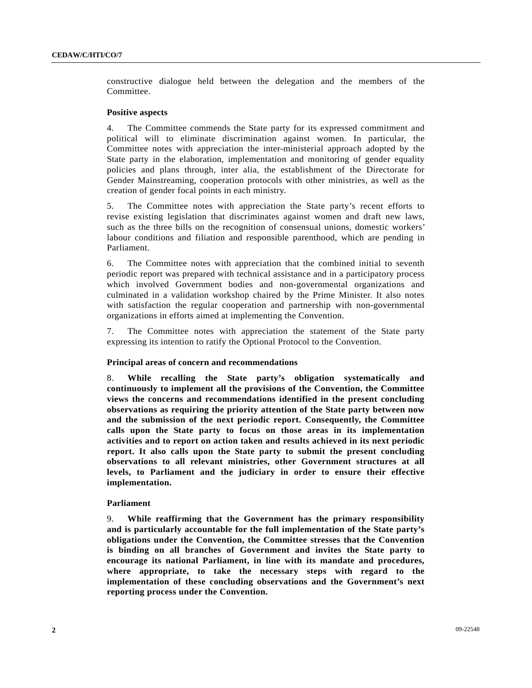constructive dialogue held between the delegation and the members of the Committee.

#### **Positive aspects**

4. The Committee commends the State party for its expressed commitment and political will to eliminate discrimination against women. In particular, the Committee notes with appreciation the inter-ministerial approach adopted by the State party in the elaboration, implementation and monitoring of gender equality policies and plans through, inter alia, the establishment of the Directorate for Gender Mainstreaming, cooperation protocols with other ministries, as well as the creation of gender focal points in each ministry.

5. The Committee notes with appreciation the State party's recent efforts to revise existing legislation that discriminates against women and draft new laws, such as the three bills on the recognition of consensual unions, domestic workers' labour conditions and filiation and responsible parenthood, which are pending in Parliament.

6. The Committee notes with appreciation that the combined initial to seventh periodic report was prepared with technical assistance and in a participatory process which involved Government bodies and non-governmental organizations and culminated in a validation workshop chaired by the Prime Minister. It also notes with satisfaction the regular cooperation and partnership with non-governmental organizations in efforts aimed at implementing the Convention.

7. The Committee notes with appreciation the statement of the State party expressing its intention to ratify the Optional Protocol to the Convention.

#### **Principal areas of concern and recommendations**

8. **While recalling the State party's obligation systematically and continuously to implement all the provisions of the Convention, the Committee views the concerns and recommendations identified in the present concluding observations as requiring the priority attention of the State party between now and the submission of the next periodic report. Consequently, the Committee calls upon the State party to focus on those areas in its implementation activities and to report on action taken and results achieved in its next periodic report. It also calls upon the State party to submit the present concluding observations to all relevant ministries, other Government structures at all levels, to Parliament and the judiciary in order to ensure their effective implementation.** 

#### **Parliament**

9. **While reaffirming that the Government has the primary responsibility and is particularly accountable for the full implementation of the State party's obligations under the Convention, the Committee stresses that the Convention is binding on all branches of Government and invites the State party to encourage its national Parliament, in line with its mandate and procedures, where appropriate, to take the necessary steps with regard to the implementation of these concluding observations and the Government's next reporting process under the Convention.**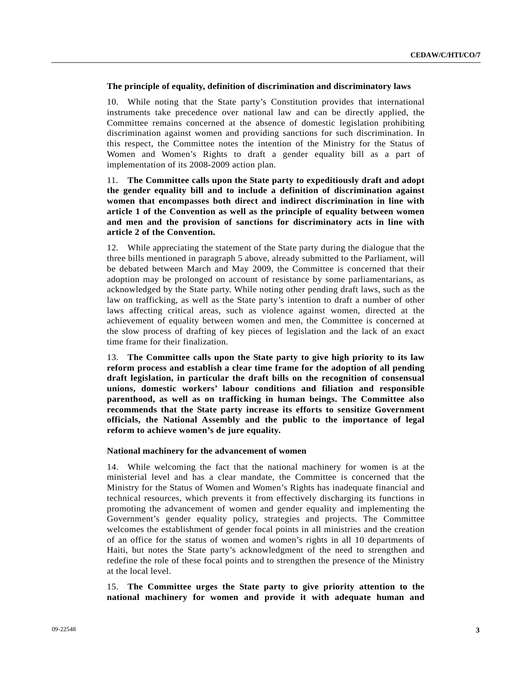#### **The principle of equality, definition of discrimination and discriminatory laws**

10. While noting that the State party's Constitution provides that international instruments take precedence over national law and can be directly applied, the Committee remains concerned at the absence of domestic legislation prohibiting discrimination against women and providing sanctions for such discrimination. In this respect, the Committee notes the intention of the Ministry for the Status of Women and Women's Rights to draft a gender equality bill as a part of implementation of its 2008-2009 action plan.

11. **The Committee calls upon the State party to expeditiously draft and adopt the gender equality bill and to include a definition of discrimination against women that encompasses both direct and indirect discrimination in line with article 1 of the Convention as well as the principle of equality between women and men and the provision of sanctions for discriminatory acts in line with article 2 of the Convention.** 

12. While appreciating the statement of the State party during the dialogue that the three bills mentioned in paragraph 5 above, already submitted to the Parliament, will be debated between March and May 2009, the Committee is concerned that their adoption may be prolonged on account of resistance by some parliamentarians, as acknowledged by the State party. While noting other pending draft laws, such as the law on trafficking, as well as the State party's intention to draft a number of other laws affecting critical areas, such as violence against women, directed at the achievement of equality between women and men, the Committee is concerned at the slow process of drafting of key pieces of legislation and the lack of an exact time frame for their finalization.

13. **The Committee calls upon the State party to give high priority to its law reform process and establish a clear time frame for the adoption of all pending draft legislation, in particular the draft bills on the recognition of consensual unions, domestic workers' labour conditions and filiation and responsible parenthood, as well as on trafficking in human beings. The Committee also recommends that the State party increase its efforts to sensitize Government officials, the National Assembly and the public to the importance of legal reform to achieve women's de jure equality.** 

#### **National machinery for the advancement of women**

14. While welcoming the fact that the national machinery for women is at the ministerial level and has a clear mandate, the Committee is concerned that the Ministry for the Status of Women and Women's Rights has inadequate financial and technical resources, which prevents it from effectively discharging its functions in promoting the advancement of women and gender equality and implementing the Government's gender equality policy, strategies and projects. The Committee welcomes the establishment of gender focal points in all ministries and the creation of an office for the status of women and women's rights in all 10 departments of Haiti, but notes the State party's acknowledgment of the need to strengthen and redefine the role of these focal points and to strengthen the presence of the Ministry at the local level.

15. **The Committee urges the State party to give priority attention to the national machinery for women and provide it with adequate human and**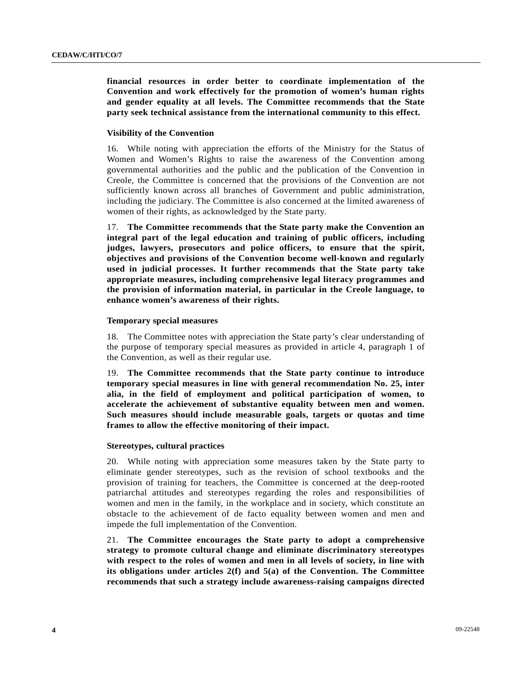**financial resources in order better to coordinate implementation of the Convention and work effectively for the promotion of women's human rights and gender equality at all levels. The Committee recommends that the State party seek technical assistance from the international community to this effect.** 

#### **Visibility of the Convention**

16. While noting with appreciation the efforts of the Ministry for the Status of Women and Women's Rights to raise the awareness of the Convention among governmental authorities and the public and the publication of the Convention in Creole, the Committee is concerned that the provisions of the Convention are not sufficiently known across all branches of Government and public administration, including the judiciary. The Committee is also concerned at the limited awareness of women of their rights, as acknowledged by the State party.

17. **The Committee recommends that the State party make the Convention an integral part of the legal education and training of public officers, including judges, lawyers, prosecutors and police officers, to ensure that the spirit, objectives and provisions of the Convention become well-known and regularly used in judicial processes. It further recommends that the State party take appropriate measures, including comprehensive legal literacy programmes and the provision of information material, in particular in the Creole language, to enhance women's awareness of their rights.** 

#### **Temporary special measures**

18. The Committee notes with appreciation the State party's clear understanding of the purpose of temporary special measures as provided in article 4, paragraph 1 of the Convention, as well as their regular use.

19. **The Committee recommends that the State party continue to introduce temporary special measures in line with general recommendation No. 25, inter alia, in the field of employment and political participation of women, to accelerate the achievement of substantive equality between men and women. Such measures should include measurable goals, targets or quotas and time frames to allow the effective monitoring of their impact.** 

#### **Stereotypes, cultural practices**

20. While noting with appreciation some measures taken by the State party to eliminate gender stereotypes, such as the revision of school textbooks and the provision of training for teachers, the Committee is concerned at the deep-rooted patriarchal attitudes and stereotypes regarding the roles and responsibilities of women and men in the family, in the workplace and in society, which constitute an obstacle to the achievement of de facto equality between women and men and impede the full implementation of the Convention.

21. **The Committee encourages the State party to adopt a comprehensive strategy to promote cultural change and eliminate discriminatory stereotypes with respect to the roles of women and men in all levels of society, in line with its obligations under articles 2(f) and 5(a) of the Convention. The Committee recommends that such a strategy include awareness-raising campaigns directed**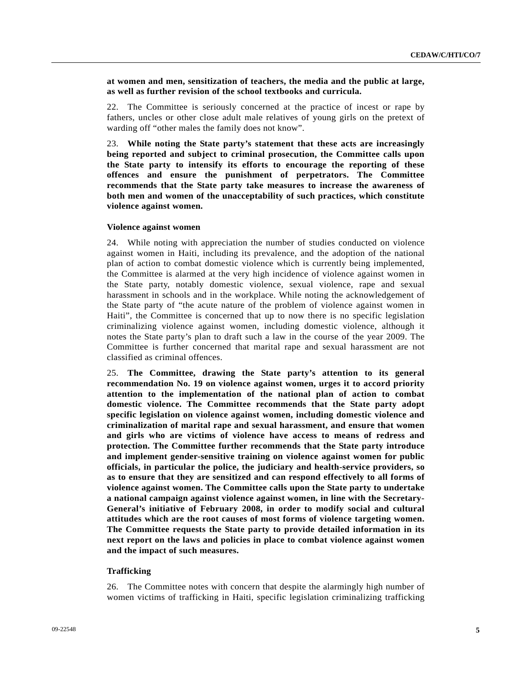**at women and men, sensitization of teachers, the media and the public at large, as well as further revision of the school textbooks and curricula.** 

22. The Committee is seriously concerned at the practice of incest or rape by fathers, uncles or other close adult male relatives of young girls on the pretext of warding off "other males the family does not know".

23. **While noting the State party's statement that these acts are increasingly being reported and subject to criminal prosecution, the Committee calls upon the State party to intensify its efforts to encourage the reporting of these offences and ensure the punishment of perpetrators. The Committee recommends that the State party take measures to increase the awareness of both men and women of the unacceptability of such practices, which constitute violence against women.** 

#### **Violence against women**

24. While noting with appreciation the number of studies conducted on violence against women in Haiti, including its prevalence, and the adoption of the national plan of action to combat domestic violence which is currently being implemented, the Committee is alarmed at the very high incidence of violence against women in the State party, notably domestic violence, sexual violence, rape and sexual harassment in schools and in the workplace. While noting the acknowledgement of the State party of "the acute nature of the problem of violence against women in Haiti", the Committee is concerned that up to now there is no specific legislation criminalizing violence against women, including domestic violence, although it notes the State party's plan to draft such a law in the course of the year 2009. The Committee is further concerned that marital rape and sexual harassment are not classified as criminal offences.

25. **The Committee, drawing the State party's attention to its general recommendation No. 19 on violence against women, urges it to accord priority attention to the implementation of the national plan of action to combat domestic violence. The Committee recommends that the State party adopt specific legislation on violence against women, including domestic violence and criminalization of marital rape and sexual harassment, and ensure that women and girls who are victims of violence have access to means of redress and protection. The Committee further recommends that the State party introduce and implement gender-sensitive training on violence against women for public officials, in particular the police, the judiciary and health-service providers, so as to ensure that they are sensitized and can respond effectively to all forms of violence against women. The Committee calls upon the State party to undertake a national campaign against violence against women, in line with the Secretary-General's initiative of February 2008, in order to modify social and cultural attitudes which are the root causes of most forms of violence targeting women. The Committee requests the State party to provide detailed information in its next report on the laws and policies in place to combat violence against women and the impact of such measures.** 

#### **Trafficking**

26. The Committee notes with concern that despite the alarmingly high number of women victims of trafficking in Haiti, specific legislation criminalizing trafficking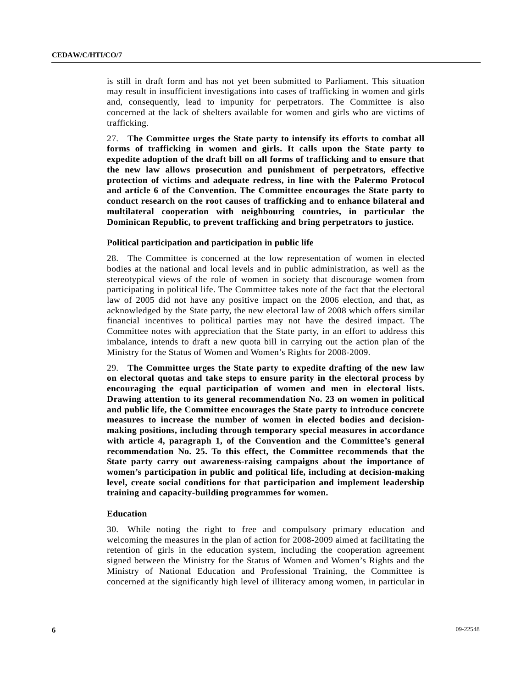is still in draft form and has not yet been submitted to Parliament. This situation may result in insufficient investigations into cases of trafficking in women and girls and, consequently, lead to impunity for perpetrators. The Committee is also concerned at the lack of shelters available for women and girls who are victims of trafficking.

27. **The Committee urges the State party to intensify its efforts to combat all forms of trafficking in women and girls. It calls upon the State party to expedite adoption of the draft bill on all forms of trafficking and to ensure that the new law allows prosecution and punishment of perpetrators, effective protection of victims and adequate redress, in line with the Palermo Protocol and article 6 of the Convention. The Committee encourages the State party to conduct research on the root causes of trafficking and to enhance bilateral and multilateral cooperation with neighbouring countries, in particular the Dominican Republic, to prevent trafficking and bring perpetrators to justice.** 

#### **Political participation and participation in public life**

28. The Committee is concerned at the low representation of women in elected bodies at the national and local levels and in public administration, as well as the stereotypical views of the role of women in society that discourage women from participating in political life. The Committee takes note of the fact that the electoral law of 2005 did not have any positive impact on the 2006 election, and that, as acknowledged by the State party, the new electoral law of 2008 which offers similar financial incentives to political parties may not have the desired impact. The Committee notes with appreciation that the State party, in an effort to address this imbalance, intends to draft a new quota bill in carrying out the action plan of the Ministry for the Status of Women and Women's Rights for 2008-2009.

29. **The Committee urges the State party to expedite drafting of the new law on electoral quotas and take steps to ensure parity in the electoral process by encouraging the equal participation of women and men in electoral lists. Drawing attention to its general recommendation No. 23 on women in political and public life, the Committee encourages the State party to introduce concrete measures to increase the number of women in elected bodies and decisionmaking positions, including through temporary special measures in accordance with article 4, paragraph 1, of the Convention and the Committee's general recommendation No. 25. To this effect, the Committee recommends that the State party carry out awareness-raising campaigns about the importance of women's participation in public and political life, including at decision-making level, create social conditions for that participation and implement leadership training and capacity-building programmes for women.** 

#### **Education**

30. While noting the right to free and compulsory primary education and welcoming the measures in the plan of action for 2008-2009 aimed at facilitating the retention of girls in the education system, including the cooperation agreement signed between the Ministry for the Status of Women and Women's Rights and the Ministry of National Education and Professional Training, the Committee is concerned at the significantly high level of illiteracy among women, in particular in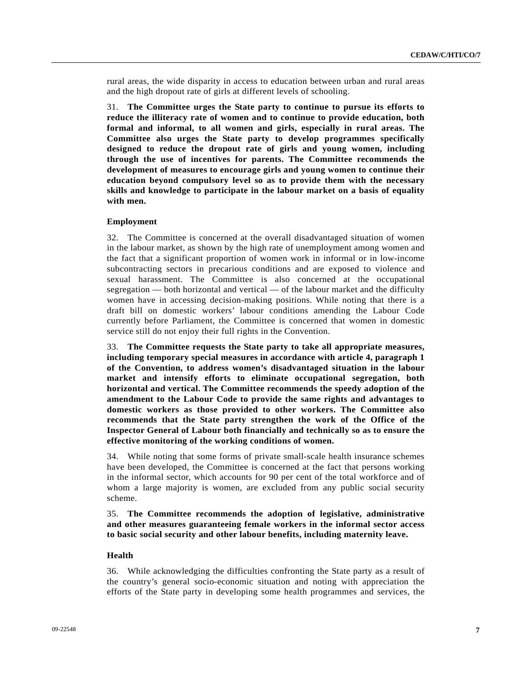rural areas, the wide disparity in access to education between urban and rural areas and the high dropout rate of girls at different levels of schooling.

31. **The Committee urges the State party to continue to pursue its efforts to reduce the illiteracy rate of women and to continue to provide education, both formal and informal, to all women and girls, especially in rural areas. The Committee also urges the State party to develop programmes specifically designed to reduce the dropout rate of girls and young women, including through the use of incentives for parents. The Committee recommends the development of measures to encourage girls and young women to continue their education beyond compulsory level so as to provide them with the necessary skills and knowledge to participate in the labour market on a basis of equality with men.** 

#### **Employment**

32. The Committee is concerned at the overall disadvantaged situation of women in the labour market, as shown by the high rate of unemployment among women and the fact that a significant proportion of women work in informal or in low-income subcontracting sectors in precarious conditions and are exposed to violence and sexual harassment. The Committee is also concerned at the occupational segregation — both horizontal and vertical — of the labour market and the difficulty women have in accessing decision-making positions. While noting that there is a draft bill on domestic workers' labour conditions amending the Labour Code currently before Parliament, the Committee is concerned that women in domestic service still do not enjoy their full rights in the Convention.

33. **The Committee requests the State party to take all appropriate measures, including temporary special measures in accordance with article 4, paragraph 1 of the Convention, to address women's disadvantaged situation in the labour market and intensify efforts to eliminate occupational segregation, both horizontal and vertical. The Committee recommends the speedy adoption of the amendment to the Labour Code to provide the same rights and advantages to domestic workers as those provided to other workers. The Committee also recommends that the State party strengthen the work of the Office of the Inspector General of Labour both financially and technically so as to ensure the effective monitoring of the working conditions of women.** 

34. While noting that some forms of private small-scale health insurance schemes have been developed, the Committee is concerned at the fact that persons working in the informal sector, which accounts for 90 per cent of the total workforce and of whom a large majority is women, are excluded from any public social security scheme.

35. **The Committee recommends the adoption of legislative, administrative and other measures guaranteeing female workers in the informal sector access to basic social security and other labour benefits, including maternity leave.** 

#### **Health**

36. While acknowledging the difficulties confronting the State party as a result of the country's general socio-economic situation and noting with appreciation the efforts of the State party in developing some health programmes and services, the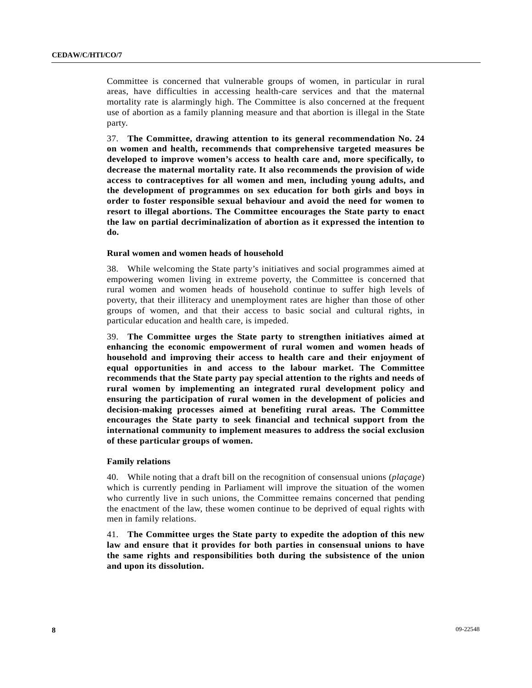Committee is concerned that vulnerable groups of women, in particular in rural areas, have difficulties in accessing health-care services and that the maternal mortality rate is alarmingly high. The Committee is also concerned at the frequent use of abortion as a family planning measure and that abortion is illegal in the State party.

37. **The Committee, drawing attention to its general recommendation No. 24 on women and health, recommends that comprehensive targeted measures be developed to improve women's access to health care and, more specifically, to decrease the maternal mortality rate. It also recommends the provision of wide access to contraceptives for all women and men, including young adults, and the development of programmes on sex education for both girls and boys in order to foster responsible sexual behaviour and avoid the need for women to resort to illegal abortions. The Committee encourages the State party to enact the law on partial decriminalization of abortion as it expressed the intention to do.** 

#### **Rural women and women heads of household**

38. While welcoming the State party's initiatives and social programmes aimed at empowering women living in extreme poverty, the Committee is concerned that rural women and women heads of household continue to suffer high levels of poverty, that their illiteracy and unemployment rates are higher than those of other groups of women, and that their access to basic social and cultural rights, in particular education and health care, is impeded.

39. **The Committee urges the State party to strengthen initiatives aimed at enhancing the economic empowerment of rural women and women heads of household and improving their access to health care and their enjoyment of equal opportunities in and access to the labour market. The Committee recommends that the State party pay special attention to the rights and needs of rural women by implementing an integrated rural development policy and ensuring the participation of rural women in the development of policies and decision-making processes aimed at benefiting rural areas. The Committee encourages the State party to seek financial and technical support from the international community to implement measures to address the social exclusion of these particular groups of women.** 

#### **Family relations**

40. While noting that a draft bill on the recognition of consensual unions (*plaçage*) which is currently pending in Parliament will improve the situation of the women who currently live in such unions, the Committee remains concerned that pending the enactment of the law, these women continue to be deprived of equal rights with men in family relations.

41. **The Committee urges the State party to expedite the adoption of this new law and ensure that it provides for both parties in consensual unions to have the same rights and responsibilities both during the subsistence of the union and upon its dissolution.**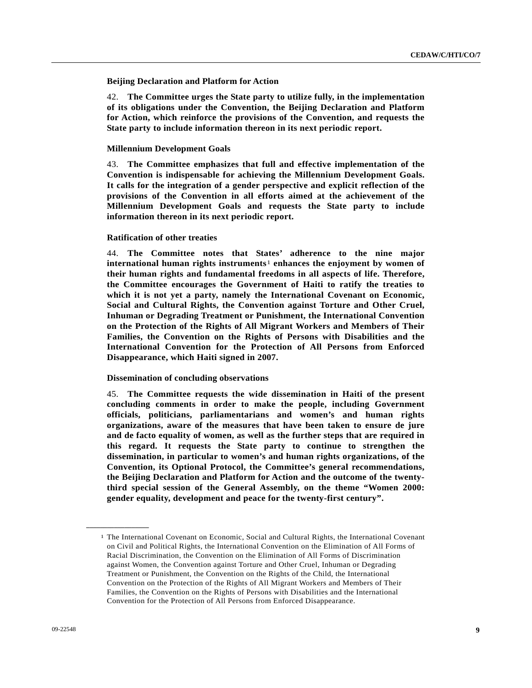#### **Beijing Declaration and Platform for Action**

42. **The Committee urges the State party to utilize fully, in the implementation of its obligations under the Convention, the Beijing Declaration and Platform for Action, which reinforce the provisions of the Convention, and requests the State party to include information thereon in its next periodic report.** 

#### **Millennium Development Goals**

43. **The Committee emphasizes that full and effective implementation of the Convention is indispensable for achieving the Millennium Development Goals. It calls for the integration of a gender perspective and explicit reflection of the provisions of the Convention in all efforts aimed at the achievement of the Millennium Development Goals and requests the State party to include information thereon in its next periodic report.** 

#### **Ratification of other treaties**

44. **The Committee notes that States' adherence to the nine major international human rights instruments**[1](#page-8-0) **enhances the enjoyment by women of their human rights and fundamental freedoms in all aspects of life. Therefore, the Committee encourages the Government of Haiti to ratify the treaties to which it is not yet a party, namely the International Covenant on Economic, Social and Cultural Rights, the Convention against Torture and Other Cruel, Inhuman or Degrading Treatment or Punishment, the International Convention on the Protection of the Rights of All Migrant Workers and Members of Their Families, the Convention on the Rights of Persons with Disabilities and the International Convention for the Protection of All Persons from Enforced Disappearance, which Haiti signed in 2007.** 

#### **Dissemination of concluding observations**

45. **The Committee requests the wide dissemination in Haiti of the present concluding comments in order to make the people, including Government officials, politicians, parliamentarians and women's and human rights organizations, aware of the measures that have been taken to ensure de jure and de facto equality of women, as well as the further steps that are required in this regard. It requests the State party to continue to strengthen the dissemination, in particular to women's and human rights organizations, of the Convention, its Optional Protocol, the Committee's general recommendations, the Beijing Declaration and Platform for Action and the outcome of the twentythird special session of the General Assembly, on the theme "Women 2000: gender equality, development and peace for the twenty-first century".** 

<span id="page-8-0"></span>**\_\_\_\_\_\_\_\_\_\_\_\_\_\_\_\_\_\_** 

<sup>1</sup> The International Covenant on Economic, Social and Cultural Rights, the International Covenant on Civil and Political Rights, the International Convention on the Elimination of All Forms of Racial Discrimination, the Convention on the Elimination of All Forms of Discrimination against Women, the Convention against Torture and Other Cruel, Inhuman or Degrading Treatment or Punishment, the Convention on the Rights of the Child, the International Convention on the Protection of the Rights of All Migrant Workers and Members of Their Families, the Convention on the Rights of Persons with Disabilities and the International Convention for the Protection of All Persons from Enforced Disappearance.